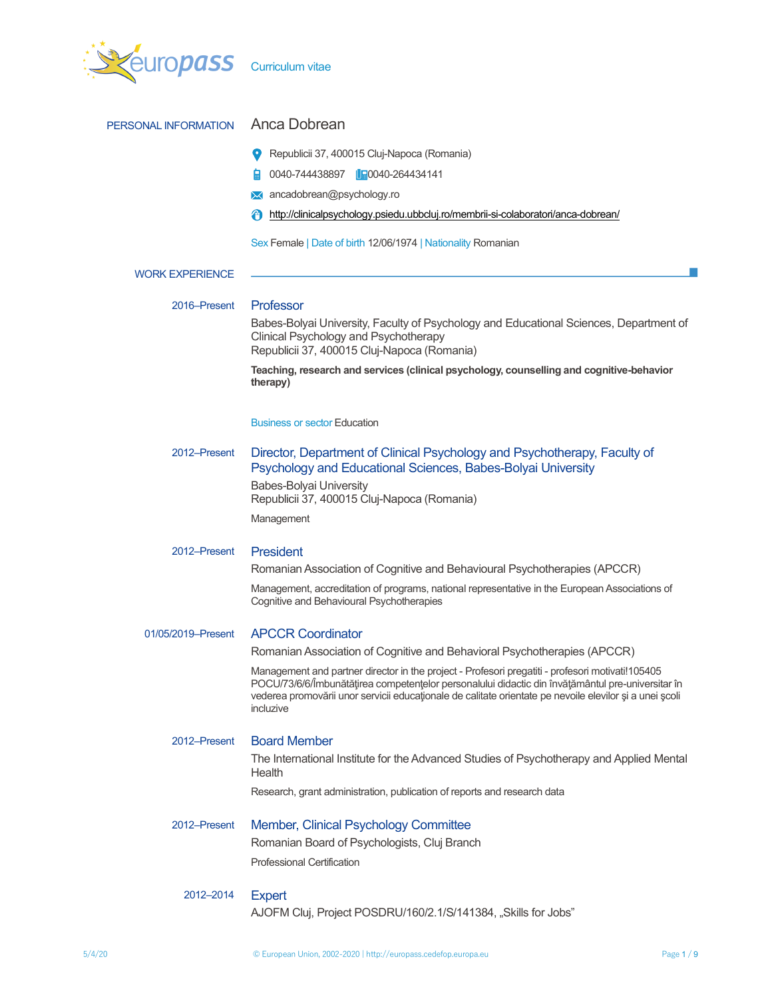

| PERSONAL INFORMATION   | Anca Dobrean                                                                                                                                                                                                                                                                                                                  |  |  |
|------------------------|-------------------------------------------------------------------------------------------------------------------------------------------------------------------------------------------------------------------------------------------------------------------------------------------------------------------------------|--|--|
|                        | Republicii 37, 400015 Cluj-Napoca (Romania)                                                                                                                                                                                                                                                                                   |  |  |
|                        | 0040-744438897 <b>20040-264434141</b>                                                                                                                                                                                                                                                                                         |  |  |
|                        | <b>X</b> ancadobrean@psychology.ro                                                                                                                                                                                                                                                                                            |  |  |
|                        | http://clinicalpsychology.psiedu.ubbcluj.ro/membrii-si-colaboratori/anca-dobrean/                                                                                                                                                                                                                                             |  |  |
|                        | Sex Female   Date of birth 12/06/1974   Nationality Romanian                                                                                                                                                                                                                                                                  |  |  |
| <b>WORK EXPERIENCE</b> |                                                                                                                                                                                                                                                                                                                               |  |  |
| 2016-Present           | Professor                                                                                                                                                                                                                                                                                                                     |  |  |
|                        | Babes-Bolyai University, Faculty of Psychology and Educational Sciences, Department of<br>Clinical Psychology and Psychotherapy<br>Republicii 37, 400015 Cluj-Napoca (Romania)                                                                                                                                                |  |  |
|                        | Teaching, research and services (clinical psychology, counselling and cognitive-behavior<br>therapy)                                                                                                                                                                                                                          |  |  |
|                        | <b>Business or sector Education</b>                                                                                                                                                                                                                                                                                           |  |  |
| 2012-Present           | Director, Department of Clinical Psychology and Psychotherapy, Faculty of<br>Psychology and Educational Sciences, Babes-Bolyai University                                                                                                                                                                                     |  |  |
|                        | Babes-Bolyai University<br>Republicii 37, 400015 Cluj-Napoca (Romania)                                                                                                                                                                                                                                                        |  |  |
|                        | Management                                                                                                                                                                                                                                                                                                                    |  |  |
| 2012-Present           | President                                                                                                                                                                                                                                                                                                                     |  |  |
|                        | Romanian Association of Cognitive and Behavioural Psychotherapies (APCCR)                                                                                                                                                                                                                                                     |  |  |
|                        | Management, accreditation of programs, national representative in the European Associations of<br>Cognitive and Behavioural Psychotherapies                                                                                                                                                                                   |  |  |
| 01/05/2019-Present     | <b>APCCR Coordinator</b>                                                                                                                                                                                                                                                                                                      |  |  |
|                        | Romanian Association of Cognitive and Behavioral Psychotherapies (APCCR)                                                                                                                                                                                                                                                      |  |  |
|                        | Management and partner director in the project - Profesori pregatiti - profesori motivati!105405<br>POCU/73/6/6/lmbunătățirea competențelor personalului didactic din învățământul pre-universitar în<br>vederea promovării unor servicii educaționale de calitate orientate pe nevoile elevilor și a unei școli<br>incluzive |  |  |
| 2012-Present           | <b>Board Member</b>                                                                                                                                                                                                                                                                                                           |  |  |
|                        | The International Institute for the Advanced Studies of Psychotherapy and Applied Mental<br>Health                                                                                                                                                                                                                            |  |  |
|                        | Research, grant administration, publication of reports and research data                                                                                                                                                                                                                                                      |  |  |
| 2012-Present           | <b>Member, Clinical Psychology Committee</b>                                                                                                                                                                                                                                                                                  |  |  |
|                        | Romanian Board of Psychologists, Cluj Branch                                                                                                                                                                                                                                                                                  |  |  |
|                        | <b>Professional Certification</b>                                                                                                                                                                                                                                                                                             |  |  |
| 2012-2014              | <b>Expert</b>                                                                                                                                                                                                                                                                                                                 |  |  |
|                        | AJOFM Cluj, Project POSDRU/160/2.1/S/141384, "Skills for Jobs"                                                                                                                                                                                                                                                                |  |  |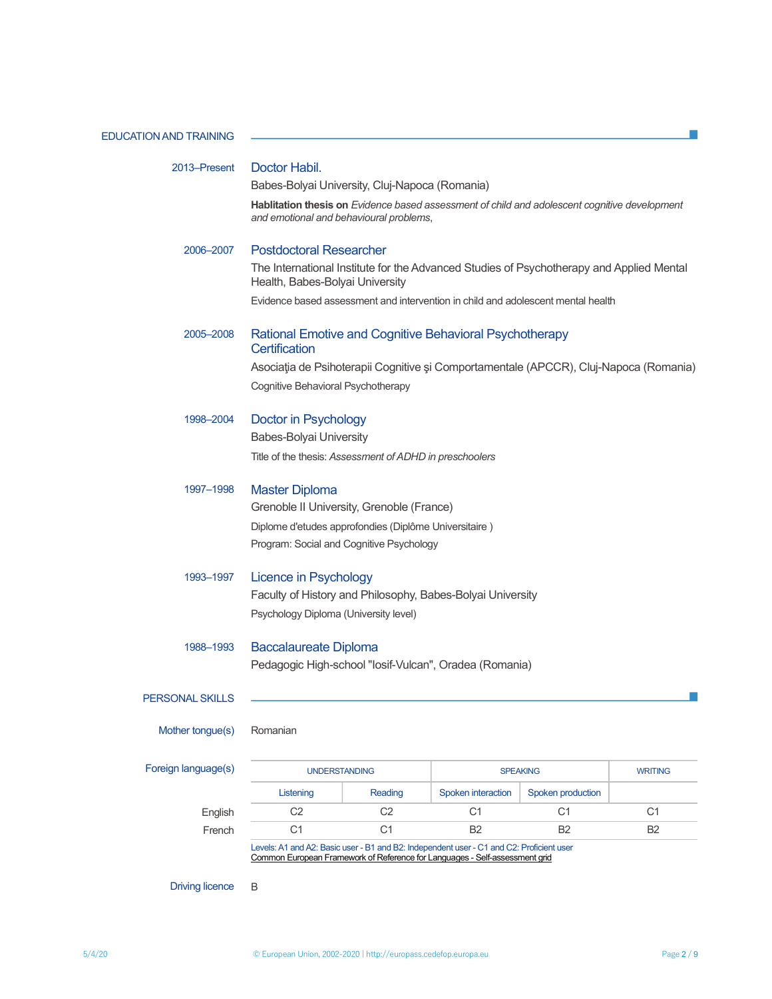# EDUCATION AND TRAINING

| 2013-Present           | Doctor Habil.<br>Babes-Bolyai University, Cluj-Napoca (Romania)<br>Hablitation thesis on Evidence based assessment of child and adolescent cognitive development |                 |                |  |  |
|------------------------|------------------------------------------------------------------------------------------------------------------------------------------------------------------|-----------------|----------------|--|--|
|                        | and emotional and behavioural problems,                                                                                                                          |                 |                |  |  |
| 2006-2007              | <b>Postdoctoral Researcher</b>                                                                                                                                   |                 |                |  |  |
|                        | The International Institute for the Advanced Studies of Psychotherapy and Applied Mental<br>Health, Babes-Bolyai University                                      |                 |                |  |  |
|                        | Evidence based assessment and intervention in child and adolescent mental health                                                                                 |                 |                |  |  |
| 2005-2008              | <b>Rational Emotive and Cognitive Behavioral Psychotherapy</b><br>Certification                                                                                  |                 |                |  |  |
|                        | Asociația de Psihoterapii Cognitive și Comportamentale (APCCR), Cluj-Napoca (Romania)                                                                            |                 |                |  |  |
|                        | Cognitive Behavioral Psychotherapy                                                                                                                               |                 |                |  |  |
| 1998-2004              | Doctor in Psychology                                                                                                                                             |                 |                |  |  |
|                        | <b>Babes-Bolyai University</b>                                                                                                                                   |                 |                |  |  |
|                        | Title of the thesis: Assessment of ADHD in preschoolers                                                                                                          |                 |                |  |  |
| 1997-1998              | <b>Master Diploma</b>                                                                                                                                            |                 |                |  |  |
|                        | Grenoble II University, Grenoble (France)<br>Diplome d'etudes approfondies (Diplôme Universitaire)                                                               |                 |                |  |  |
|                        |                                                                                                                                                                  |                 |                |  |  |
|                        | Program: Social and Cognitive Psychology                                                                                                                         |                 |                |  |  |
| 1993-1997              | Licence in Psychology                                                                                                                                            |                 |                |  |  |
|                        | Faculty of History and Philosophy, Babes-Bolyai University                                                                                                       |                 |                |  |  |
|                        | Psychology Diploma (University level)                                                                                                                            |                 |                |  |  |
| 1988-1993              | <b>Baccalaureate Diploma</b>                                                                                                                                     |                 |                |  |  |
|                        | Pedagogic High-school "Iosif-Vulcan", Oradea (Romania)                                                                                                           |                 |                |  |  |
| <b>PERSONAL SKILLS</b> |                                                                                                                                                                  |                 |                |  |  |
| Mother tongue(s)       | Romanian                                                                                                                                                         |                 |                |  |  |
|                        |                                                                                                                                                                  |                 |                |  |  |
| Foreign language(s)    | <b>UNDERSTANDING</b>                                                                                                                                             | <b>SPEAKING</b> | <b>WRITING</b> |  |  |
|                        |                                                                                                                                                                  |                 |                |  |  |

|         | Listening                                                                                | Reading | Spoken interaction | Spoken production |  |  |
|---------|------------------------------------------------------------------------------------------|---------|--------------------|-------------------|--|--|
| Enalish |                                                                                          |         |                    |                   |  |  |
| French  |                                                                                          |         |                    | R2                |  |  |
|         | Levels: A1 and A2: Basic user - B1 and B2: Independent user - C1 and C2: Proficient user |         |                    |                   |  |  |

Common European Framework of Reference for Languages - Self-assessment grid

Driving licence B

П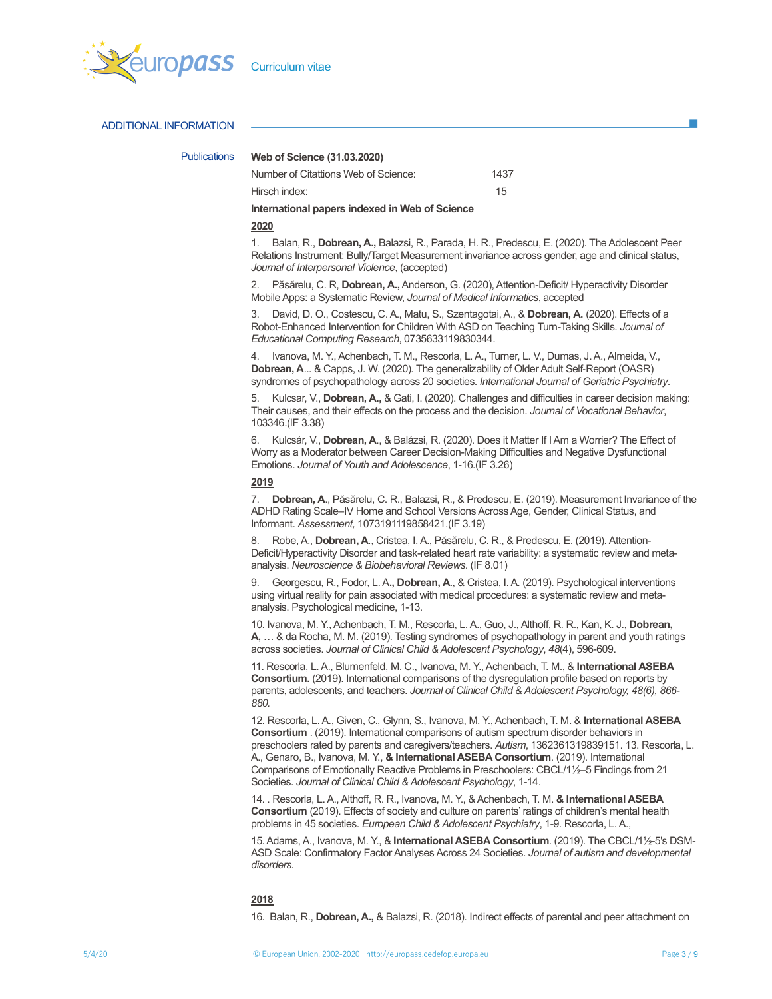

### ADDITIONAL INFORMATION

#### Publications Web of Science (31.03.2020)

| Number of Citattions Web of Science: | 1437 |
|--------------------------------------|------|
| Hirsch index:                        | 15   |
| .                                    |      |

### International papers indexed in Web of Science

## 2020

1. Balan, R., Dobrean, A., Balazsi, R., Parada, H. R., Predescu, E. (2020). The Adolescent Peer Relations Instrument: Bully/Target Measurement invariance across gender, age and clinical status, Journal of Interpersonal Violence, (accepted)

2. Păsărelu, C. R, Dobrean, A., Anderson, G. (2020), Attention-Deficit/ Hyperactivity Disorder Mobile Apps: a Systematic Review, Journal of Medical Informatics, accepted

3. David, D. O., Costescu, C. A., Matu, S., Szentagotai, A., & Dobrean, A. (2020). Effects of a Robot-Enhanced Intervention for Children With ASD on Teaching Turn-Taking Skills. Journal of Educational Computing Research, 0735633119830344.

4. Ivanova, M. Y., Achenbach, T. M., Rescorla, L. A., Turner, L. V., Dumas, J. A., Almeida, V., Dobrean, A... & Capps, J. W. (2020). The generalizability of Older Adult Self‐Report (OASR) syndromes of psychopathology across 20 societies. International Journal of Geriatric Psychiatry.

Kulcsar, V., Dobrean, A., & Gati, I. (2020). Challenges and difficulties in career decision making: Their causes, and their effects on the process and the decision. Journal of Vocational Behavior, 103346.(IF 3.38)

6. Kulcsár, V., Dobrean, A., & Balázsi, R. (2020). Does it Matter If I Am a Worrier? The Effect of Worry as a Moderator between Career Decision-Making Difficulties and Negative Dysfunctional Emotions. Journal of Youth and Adolescence, 1-16.(IF 3.26)

#### 2019

7. Dobrean, A., Păsărelu, C. R., Balazsi, R., & Predescu, E. (2019). Measurement Invariance of the ADHD Rating Scale–IV Home and School Versions Across Age, Gender, Clinical Status, and Informant. Assessment, 1073191119858421.(IF 3.19)

8. Robe, A., Dobrean, A., Cristea, I. A., Păsărelu, C. R., & Predescu, E. (2019). Attention-Deficit/Hyperactivity Disorder and task-related heart rate variability: a systematic review and metaanalysis. Neuroscience & Biobehavioral Reviews. (IF 8.01)

9. Georgescu, R., Fodor, L. A., Dobrean, A., & Cristea, I. A. (2019). Psychological interventions using virtual reality for pain associated with medical procedures: a systematic review and metaanalysis. Psychological medicine, 1-13.

10. Ivanova, M. Y., Achenbach, T. M., Rescorla, L. A., Guo, J., Althoff, R. R., Kan, K. J., Dobrean, A, … & da Rocha, M. M. (2019). Testing syndromes of psychopathology in parent and youth ratings across societies. Journal of Clinical Child & Adolescent Psychology, 48(4), 596-609.

11. Rescorla, L. A., Blumenfeld, M. C., Ivanova, M. Y., Achenbach, T. M., & International ASEBA Consortium. (2019). International comparisons of the dysregulation profile based on reports by parents, adolescents, and teachers. Journal of Clinical Child & Adolescent Psychology, 48(6), 866-880.

12. Rescorla, L. A., Given, C., Glynn, S., Ivanova, M. Y., Achenbach, T. M. & International ASEBA Consortium . (2019). International comparisons of autism spectrum disorder behaviors in preschoolers rated by parents and caregivers/teachers. Autism, 1362361319839151. 13. Rescorla, L. A., Genaro, B., Ivanova, M. Y., & International ASEBA Consortium. (2019). International Comparisons of Emotionally Reactive Problems in Preschoolers: CBCL/1½–5 Findings from 21 Societies. Journal of Clinical Child & Adolescent Psychology, 1-14.

14. . Rescorla, L. A., Althoff, R. R., Ivanova, M. Y., & Achenbach, T. M. & International ASEBA Consortium (2019). Effects of society and culture on parents' ratings of children's mental health problems in 45 societies. European Child & Adolescent Psychiatry, 1-9. Rescorla, L. A.,

15. Adams, A., Ivanova, M. Y., & International ASEBA Consortium. (2019). The CBCL/1½-5's DSM-ASD Scale: Confirmatory Factor Analyses Across 24 Societies. Journal of autism and developmental disorders.

## 2018

16. Balan, R., Dobrean, A., & Balazsi, R. (2018). Indirect effects of parental and peer attachment on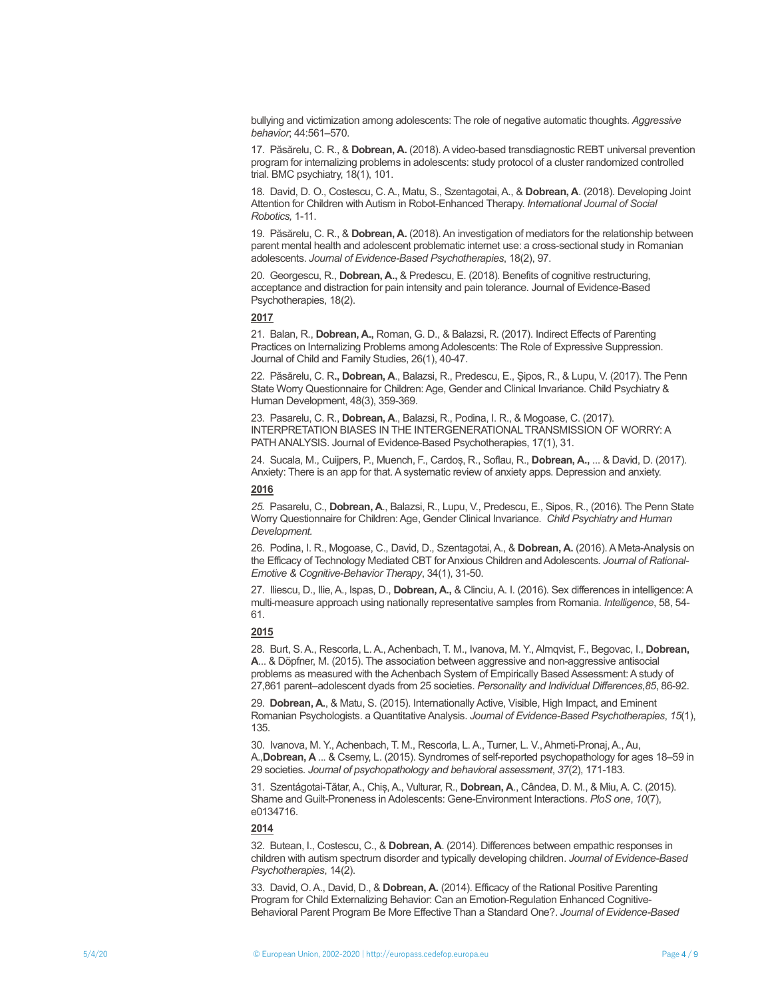bullying and victimization among adolescents: The role of negative automatic thoughts. Aggressive behavior; 44:561–570.

17. Păsărelu, C. R., & Dobrean, A. (2018). A video-based transdiagnostic REBT universal prevention program for internalizing problems in adolescents: study protocol of a cluster randomized controlled trial. BMC psychiatry, 18(1), 101.

18. David, D. O., Costescu, C. A., Matu, S., Szentagotai, A., & Dobrean, A. (2018). Developing Joint Attention for Children with Autism in Robot-Enhanced Therapy. International Journal of Social Robotics, 1-11.

19. Păsărelu, C. R., & Dobrean, A. (2018). An investigation of mediators for the relationship between parent mental health and adolescent problematic internet use: a cross-sectional study in Romanian adolescents. Journal of Evidence-Based Psychotherapies, 18(2), 97.

20. Georgescu, R., Dobrean, A., & Predescu, E. (2018). Benefits of cognitive restructuring, acceptance and distraction for pain intensity and pain tolerance. Journal of Evidence-Based Psychotherapies, 18(2).

## 2017

21. Balan, R., Dobrean, A., Roman, G. D., & Balazsi, R. (2017). Indirect Effects of Parenting Practices on Internalizing Problems among Adolescents: The Role of Expressive Suppression. Journal of Child and Family Studies, 26(1), 40-47.

22. Păsărelu, C. R., Dobrean, A., Balazsi, R., Predescu, E., Șipos, R., & Lupu, V. (2017). The Penn State Worry Questionnaire for Children: Age, Gender and Clinical Invariance. Child Psychiatry & Human Development, 48(3), 359-369.

23. Pasarelu, C. R., Dobrean, A., Balazsi, R., Podina, I. R., & Mogoase, C. (2017). INTERPRETATION BIASES IN THE INTERGENERATIONAL TRANSMISSION OF WORRY: A PATH ANALYSIS. Journal of Evidence-Based Psychotherapies, 17(1), 31.

24. Sucala, M., Cuijpers, P., Muench, F., Cardoș, R., Soflau, R., Dobrean, A., ... & David, D. (2017). Anxiety: There is an app for that. A systematic review of anxiety apps. Depression and anxiety.

## 2016

25. Pasarelu, C., Dobrean, A., Balazsi, R., Lupu, V., Predescu, E., Sipos, R., (2016). The Penn State Worry Questionnaire for Children: Age, Gender Clinical Invariance. Child Psychiatry and Human Development.

26. Podina, I. R., Mogoase, C., David, D., Szentagotai, A., & Dobrean, A. (2016). A Meta-Analysis on the Efficacy of Technology Mediated CBT for Anxious Children and Adolescents. Journal of Rational-Emotive & Cognitive-Behavior Therapy, 34(1), 31-50.

27. Iliescu, D., Ilie, A., Ispas, D., Dobrean, A., & Clinciu, A. I. (2016). Sex differences in intelligence: A multi-measure approach using nationally representative samples from Romania. Intelligence, 58, 54- 61.

## 2015

28. Burt, S. A., Rescorla, L. A., Achenbach, T. M., Ivanova, M. Y., Almqvist, F., Begovac, I., Dobrean, A... & Döpfner, M. (2015). The association between aggressive and non-aggressive antisocial problems as measured with the Achenbach System of Empirically Based Assessment: A study of 27,861 parent–adolescent dyads from 25 societies. Personality and Individual Differences,85, 86-92.

29. Dobrean, A., & Matu, S. (2015). Internationally Active, Visible, High Impact, and Eminent Romanian Psychologists. a Quantitative Analysis. Journal of Evidence-Based Psychotherapies, 15(1), 135.

30. Ivanova, M. Y., Achenbach, T. M., Rescorla, L. A., Turner, L. V., Ahmeti-Pronaj, A., Au, A.,Dobrean, A ... & Csemy, L. (2015). Syndromes of self-reported psychopathology for ages 18–59 in 29 societies. Journal of psychopathology and behavioral assessment, 37(2), 171-183.

31. Szentágotai-Tătar, A., Chiș, A., Vulturar, R., Dobrean, A., Cândea, D. M., & Miu, A. C. (2015). Shame and Guilt-Proneness in Adolescents: Gene-Environment Interactions. PloS one, 10(7), e0134716.

## 2014

32. Butean, I., Costescu, C., & Dobrean, A. (2014). Differences between empathic responses in children with autism spectrum disorder and typically developing children. Journal of Evidence-Based Psychotherapies, 14(2).

33. David, O. A., David, D., & Dobrean, A. (2014). Efficacy of the Rational Positive Parenting Program for Child Externalizing Behavior: Can an Emotion-Regulation Enhanced Cognitive-Behavioral Parent Program Be More Effective Than a Standard One?. Journal of Evidence-Based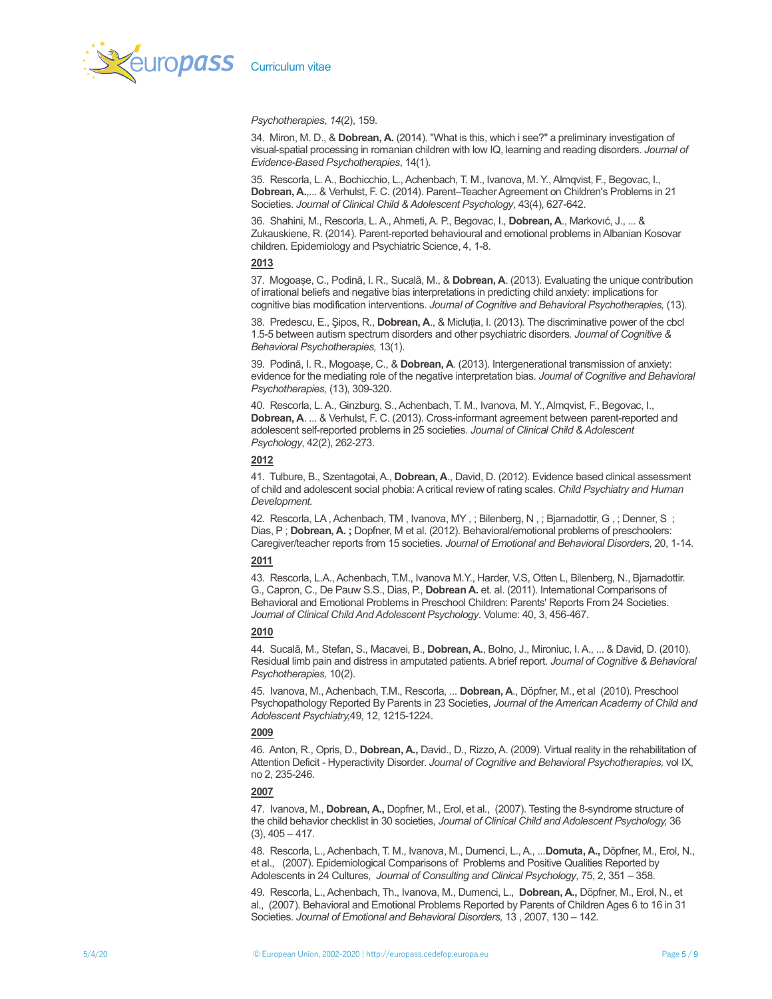

Psychotherapies, 14(2), 159.

34. Miron, M. D., & Dobrean, A. (2014). "What is this, which i see?" a preliminary investigation of visual-spatial processing in romanian children with low IQ, learning and reading disorders. Journal of Evidence-Based Psychotherapies, 14(1).

35. Rescorla, L. A., Bochicchio, L., Achenbach, T. M., Ivanova, M. Y., Almqvist, F., Begovac, I., Dobrean, A.,... & Verhulst, F. C. (2014). Parent–Teacher Agreement on Children's Problems in 21 Societies. Journal of Clinical Child & Adolescent Psychology, 43(4), 627-642.

36. Shahini, M., Rescorla, L. A., Ahmeti, A. P., Begovac, I., Dobrean, A., Markovıć, J., ... & Zukauskiene, R. (2014). Parent-reported behavioural and emotional problems in Albanian Kosovar children. Epidemiology and Psychiatric Science, 4, 1-8.

## 2013

37. Mogoase, C., Podină, I. R., Sucală, M., & Dobrean, A. (2013). Evaluating the unique contribution of irrational beliefs and negative bias interpretations in predicting child anxiety: implications for cognitive bias modification interventions. Journal of Cognitive and Behavioral Psychotherapies, (13).

38. Predescu, E., Şipos, R., Dobrean, A., & Micluția, I. (2013). The discriminative power of the cbcl 1.5-5 between autism spectrum disorders and other psychiatric disorders. Journal of Cognitive & Behavioral Psychotherapies, 13(1).

39. Podină, I. R., Mogoașe, C., & Dobrean, A. (2013). Intergenerational transmission of anxiety: evidence for the mediating role of the negative interpretation bias. Journal of Cognitive and Behavioral Psychotherapies, (13), 309-320.

40. Rescorla, L. A., Ginzburg, S., Achenbach, T. M., Ivanova, M. Y., Almqvist, F., Begovac, I., Dobrean, A. ... & Verhulst, F. C. (2013). Cross-informant agreement between parent-reported and adolescent self-reported problems in 25 societies. Journal of Clinical Child & Adolescent Psychology, 42(2), 262-273.

## 2012

41. Tulbure, B., Szentagotai, A., Dobrean, A., David, D. (2012). Evidence based clinical assessment of child and adolescent social phobia: A critical review of rating scales. Child Psychiatry and Human Development.

42. Rescorla, LA, Achenbach, TM, Ivanova, MY,; Bilenberg, N,; Bjarnadottir, G,; Denner, S; Dias, P ; Dobrean, A. ; Dopfner, M et al. (2012). Behavioral/emotional problems of preschoolers: Caregiver/teacher reports from 15 societies. Journal of Emotional and Behavioral Disorders, 20, 1-14.

## 2011

43. Rescorla, L.A., Achenbach, T.M., Ivanova M.Y., Harder, V.S, Otten L, Bilenberg, N., Bjarnadottir. G., Capron, C., De Pauw S.S., Dias, P., Dobrean A. et. al. (2011). International Comparisons of Behavioral and Emotional Problems in Preschool Children: Parents' Reports From 24 Societies. Journal of Clinical Child And Adolescent Psychology. Volume: 40, 3, 456-467.

## 2010

44. Sucală, M., Stefan, S., Macavei, B., Dobrean, A., Bolno, J., Mironiuc, I. A., ... & David, D. (2010). Residual limb pain and distress in amputated patients. A brief report. Journal of Cognitive & Behavioral Psychotherapies, 10(2).

45. Ivanova, M., Achenbach, T.M., Rescorla, ... Dobrean, A., Döpfner, M., et al (2010). Preschool Psychopathology Reported By Parents in 23 Societies, Journal of the American Academy of Child and Adolescent Psychiatry,49, 12, 1215-1224.

#### 2009

46. Anton, R., Opris, D., Dobrean, A., David., D., Rizzo, A. (2009). Virtual reality in the rehabilitation of Attention Deficit - Hyperactivity Disorder. Journal of Cognitive and Behavioral Psychotherapies, vol IX, no 2, 235-246.

## 2007

47. Ivanova, M., Dobrean, A., Dopfner, M., Erol, et al., (2007). Testing the 8-syndrome structure of the child behavior checklist in 30 societies, Journal of Clinical Child and Adolescent Psychology, 36  $(3), 405 - 417.$ 

48. Rescorla, L., Achenbach, T. M., Ivanova, M., Dumenci, L., A., ...Domuta, A., Döpfner, M., Erol, N., et al., (2007). Epidemiological Comparisons of Problems and Positive Qualities Reported by Adolescents in 24 Cultures, Journal of Consulting and Clinical Psychology, 75, 2, 351 – 358.

49. Rescorla, L., Achenbach, Th., Ivanova, M., Dumenci, L., Dobrean, A., Döpfner, M., Erol, N., et al., (2007). Behavioral and Emotional Problems Reported by Parents of Children Ages 6 to 16 in 31 Societies. Journal of Emotional and Behavioral Disorders, 13 , 2007, 130 – 142.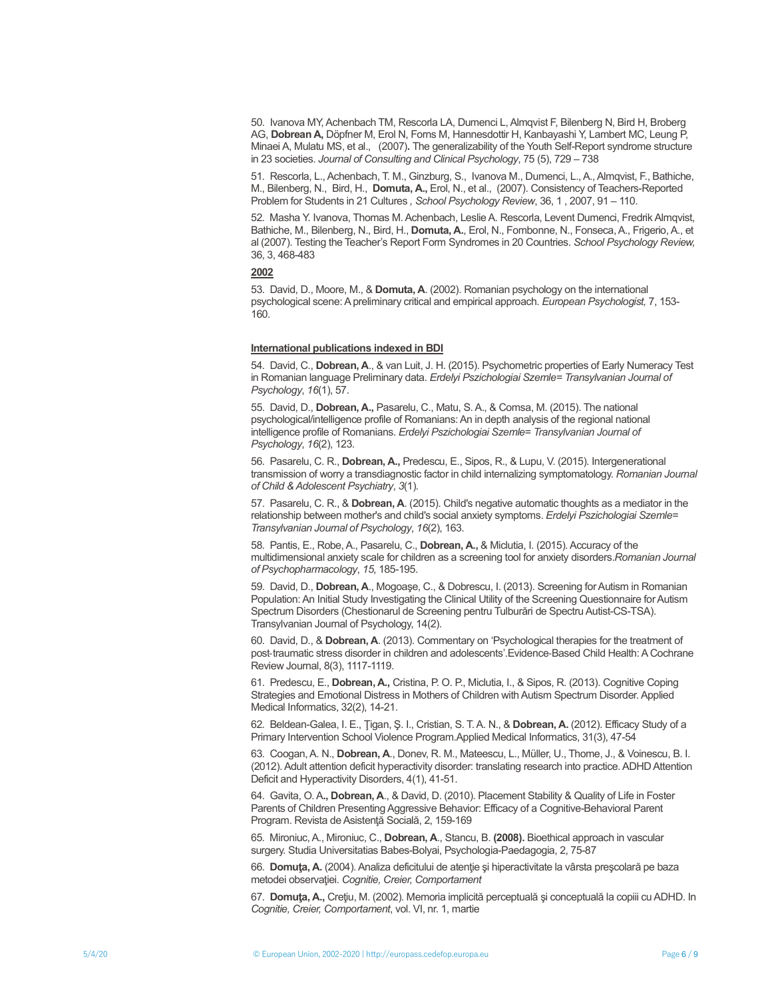50. Ivanova MY, Achenbach TM, Rescorla LA, Dumenci L, Almqvist F, Bilenberg N, Bird H, Broberg AG, **Dobrean A,** Döpfner M, Erol N, Forns M, Hannesdottir H, Kanbayashi Y, Lambert MC, Leung P, Minaei A, Mulatu MS, et al., (2007). The generalizability of the Youth Self-Report syndrome structure in 23 societies. Journal of Consulting and Clinical Psychology, 75 (5), 729 – 738

51. Rescorla, L., Achenbach, T. M., Ginzburg, S., Ivanova M., Dumenci, L., A., Almqvist, F., Bathiche, M., Bilenberg, N., Bird, H., Domuta, A., Erol, N., et al., (2007). Consistency of Teachers-Reported Problem for Students in 21 Cultures , School Psychology Review, 36, 1 , 2007, 91 – 110.

52. Masha Y. Ivanova, Thomas M. Achenbach, Leslie A. Rescorla, Levent Dumenci, Fredrik Almqvist, Bathiche, M., Bilenberg, N., Bird, H., Domuta, A., Erol, N., Fombonne, N., Fonseca, A., Frigerio, A., et al (2007). Testing the Teacher's Report Form Syndromes in 20 Countries. School Psychology Review, 36, 3, 468-483

## 2002

53. David, D., Moore, M., & Domuta, A. (2002). Romanian psychology on the international psychological scene: A preliminary critical and empirical approach. European Psychologist, 7, 153- 160.

#### International publications indexed in BDI

54. David, C., Dobrean, A., & van Luit, J. H. (2015). Psychometric properties of Early Numeracy Test in Romanian language Preliminary data. Erdelyi Pszichologiai Szemle= Transylvanian Journal of Psychology, 16(1), 57.

55. David, D., Dobrean, A., Pasarelu, C., Matu, S. A., & Comsa, M. (2015). The national psychological/intelligence profile of Romanians: An in depth analysis of the regional national intelligence profile of Romanians. Erdelyi Pszichologiai Szemle= Transylvanian Journal of Psychology, 16(2), 123.

56. Pasarelu, C. R., Dobrean, A., Predescu, E., Sipos, R., & Lupu, V. (2015). Intergenerational transmission of worry a transdiagnostic factor in child internalizing symptomatology. Romanian Journal of Child & Adolescent Psychiatry, 3(1).

57. Pasarelu, C. R., & Dobrean, A. (2015). Child's negative automatic thoughts as a mediator in the relationship between mother's and child's social anxiety symptoms. Erdelyi Pszichologiai Szemle= Transylvanian Journal of Psychology, 16(2), 163.

58. Pantis, E., Robe, A., Pasarelu, C., Dobrean, A., & Miclutia, I. (2015). Accuracy of the multidimensional anxiety scale for children as a screening tool for anxiety disorders.Romanian Journal of Psychopharmacology, 15, 185-195.

59. David, D., Dobrean, A., Mogoaşe, C., & Dobrescu, I. (2013). Screening for Autism in Romanian Population: An Initial Study Investigating the Clinical Utility of the Screening Questionnaire for Autism Spectrum Disorders (Chestionarul de Screening pentru Tulburări de Spectru Autist-CS-TSA). Transylvanian Journal of Psychology, 14(2).

60. David, D., & Dobrean, A. (2013). Commentary on 'Psychological therapies for the treatment of post‐traumatic stress disorder in children and adolescents'.Evidence‐Based Child Health: A Cochrane Review Journal, 8(3), 1117-1119.

61. Predescu, E., Dobrean, A., Cristina, P. O. P., Miclutia, I., & Sipos, R. (2013). Cognitive Coping Strategies and Emotional Distress in Mothers of Children with Autism Spectrum Disorder. Applied Medical Informatics, 32(2), 14-21.

62. Beldean-Galea, I. E., Ţigan, Ş. I., Cristian, S. T. A. N., & Dobrean, A. (2012). Efficacy Study of a Primary Intervention School Violence Program.Applied Medical Informatics, 31(3), 47-54

63. Coogan, A. N., Dobrean, A., Donev, R. M., Mateescu, L., Müller, U., Thome, J., & Voinescu, B. I. (2012). Adult attention deficit hyperactivity disorder: translating research into practice. ADHD Attention Deficit and Hyperactivity Disorders, 4(1), 41-51.

64. Gavita, O. A., Dobrean, A., & David, D. (2010). Placement Stability & Quality of Life in Foster Parents of Children Presenting Aggressive Behavior: Efficacy of a Cognitive-Behavioral Parent Program. Revista de Asistenţă Socială, 2, 159-169

65. Mironiuc, A., Mironiuc, C., Dobrean, A., Stancu, B. (2008). Bioethical approach in vascular surgery. Studia Universitatias Babes-Bolyai, Psychologia-Paedagogia, 2, 75-87

66. Domuţa, A. (2004). Analiza deficitului de atenţie şi hiperactivitate la vârsta preşcolară pe baza metodei observaţiei. Cognitie, Creier, Comportament

67. Domuţa, A., Creţiu, M. (2002). Memoria implicită perceptuală şi conceptuală la copiii cu ADHD. In Cognitie, Creier, Comportament, vol. VI, nr. 1, martie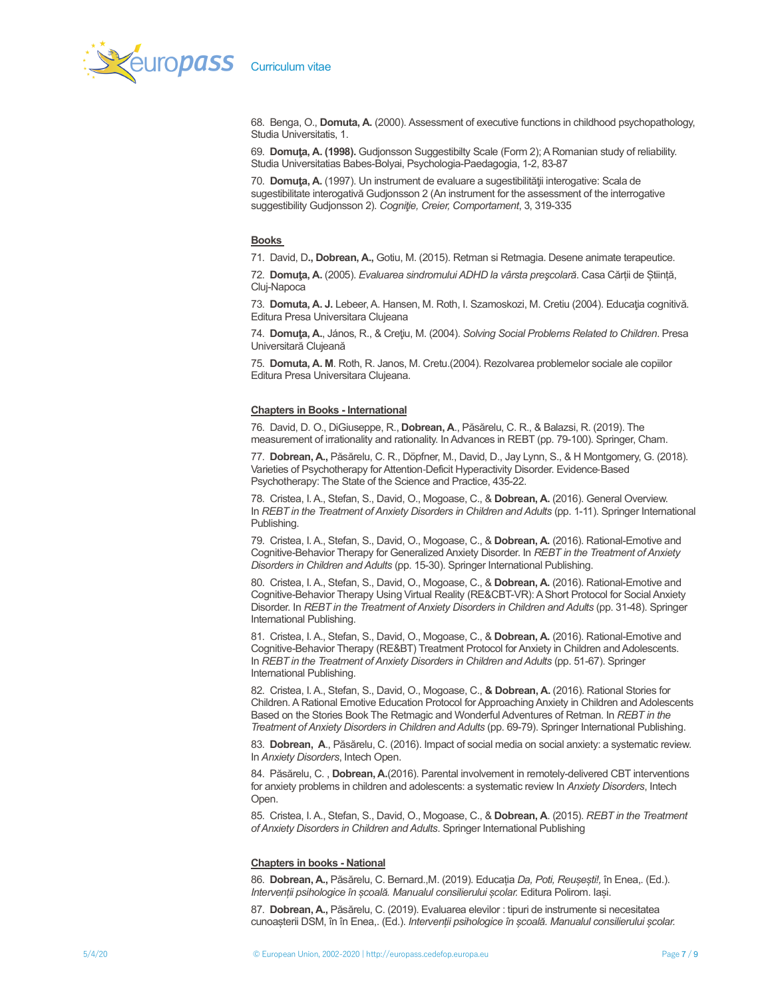

68. Benga, O., Domuta, A. (2000). Assessment of executive functions in childhood psychopathology, Studia Universitatis, 1.

69. Domuţa, A. (1998). Gudjonsson Suggestibilty Scale (Form 2); A Romanian study of reliability. Studia Universitatias Babes-Bolyai, Psychologia-Paedagogia, 1-2, 83-87

70. Domuța, A. (1997). Un instrument de evaluare a sugestibilității interogative: Scala de sugestibilitate interogativă Gudjonsson 2 (An instrument for the assessment of the interrogative suggestibility Gudjonsson 2). Cogniție, Creier, Comportament, 3, 319-335

#### Books

71. David, D., Dobrean, A., Gotiu, M. (2015). Retman si Retmagia. Desene animate terapeutice.

72. Domuţa, A. (2005). Evaluarea sindromului ADHD la vârsta preşcolară. Casa Cărții de Știință, Cluj-Napoca

73. Domuta, A. J. Lebeer, A. Hansen, M. Roth, I. Szamoskozi, M. Cretiu (2004). Educaţia cognitivă. Editura Presa Universitara Clujeana

74. Domuta, A., János, R., & Crețiu, M. (2004). Solving Social Problems Related to Children. Presa Universitară Clujeană

75. Domuta, A. M. Roth, R. Janos, M. Cretu.(2004). Rezolvarea problemelor sociale ale copiilor Editura Presa Universitara Clujeana.

#### Chapters in Books - International

76. David, D. O., DiGiuseppe, R., Dobrean, A., Păsărelu, C. R., & Balazsi, R. (2019). The measurement of irrationality and rationality. In Advances in REBT (pp. 79-100). Springer, Cham.

77. Dobrean, A., Păsărelu, C. R., Döpfner, M., David, D., Jay Lynn, S., & H Montgomery, G. (2018). Varieties of Psychotherapy for Attention‐Deficit Hyperactivity Disorder. Evidence‐Based Psychotherapy: The State of the Science and Practice, 435-22.

78. Cristea, I. A., Stefan, S., David, O., Mogoase, C., & Dobrean, A. (2016). General Overview. In REBT in the Treatment of Anxiety Disorders in Children and Adults (pp. 1-11). Springer International Publishing.

79. Cristea, I. A., Stefan, S., David, O., Mogoase, C., & Dobrean, A. (2016). Rational-Emotive and Cognitive-Behavior Therapy for Generalized Anxiety Disorder. In REBT in the Treatment of Anxiety Disorders in Children and Adults (pp. 15-30). Springer International Publishing.

80. Cristea, I. A., Stefan, S., David, O., Mogoase, C., & Dobrean, A. (2016). Rational-Emotive and Cognitive-Behavior Therapy Using Virtual Reality (RE&CBT-VR): A Short Protocol for Social Anxiety Disorder. In REBT in the Treatment of Anxiety Disorders in Children and Adults (pp. 31-48). Springer International Publishing.

81. Cristea, I. A., Stefan, S., David, O., Mogoase, C., & Dobrean, A. (2016). Rational-Emotive and Cognitive-Behavior Therapy (RE&BT) Treatment Protocol for Anxiety in Children and Adolescents. In REBT in the Treatment of Anxiety Disorders in Children and Adults (pp. 51-67). Springer International Publishing.

82. Cristea, I. A., Stefan, S., David, O., Mogoase, C., & Dobrean, A. (2016). Rational Stories for Children. A Rational Emotive Education Protocol for Approaching Anxiety in Children and Adolescents Based on the Stories Book The Retmagic and Wonderful Adventures of Retman. In REBT in the Treatment of Anxiety Disorders in Children and Adults (pp. 69-79). Springer International Publishing.

83. Dobrean, A., Păsărelu, C. (2016). Impact of social media on social anxiety: a systematic review. In Anxiety Disorders, Intech Open.

84. Păsărelu, C., Dobrean, A.(2016). Parental involvement in remotely-delivered CBT interventions for anxiety problems in children and adolescents: a systematic review In Anxiety Disorders, Intech Open.

85. Cristea, I. A., Stefan, S., David, O., Mogoase, C., & Dobrean, A. (2015). REBT in the Treatment of Anxiety Disorders in Children and Adults. Springer International Publishing

#### Chapters in books - National

86. Dobrean, A., Păsărelu, C. Bernard., M. (2019). Educația Da, Poti, Reușești!, în Enea,. (Ed.). Intervenții psihologice în școală. Manualul consilierului școlar. Editura Polirom. Iași.

87. Dobrean, A., Păsărelu, C. (2019). Evaluarea elevilor : tipuri de instrumente si necesitatea cunoașterii DSM, în în Enea,. (Ed.). Intervenții psihologice în școală. Manualul consilierului școlar.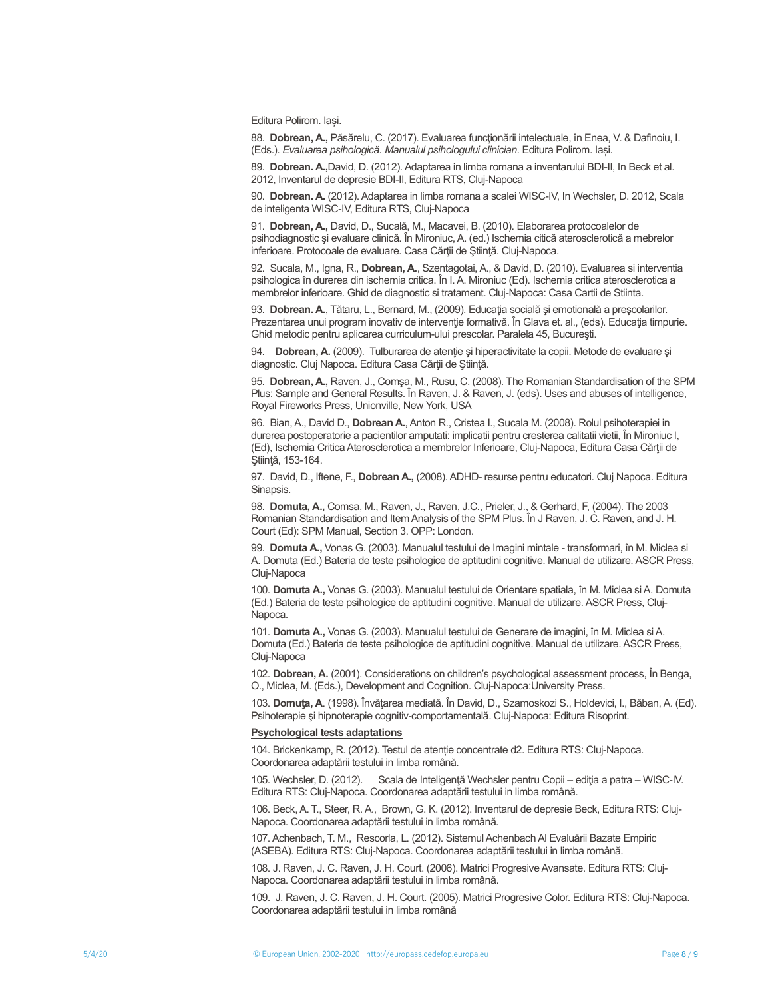Editura Polirom. Iași.

88. Dobrean, A., Păsărelu, C. (2017). Evaluarea funcționării intelectuale, în Enea, V. & Dafinoiu, I. (Eds.). Evaluarea psihologică. Manualul psihologului clinician. Editura Polirom. Iași.

89. Dobrean. A.,David, D. (2012). Adaptarea in limba romana a inventarului BDI-II, In Beck et al. 2012, Inventarul de depresie BDI-II, Editura RTS, Cluj-Napoca

90. Dobrean. A. (2012). Adaptarea in limba romana a scalei WISC-IV, In Wechsler, D. 2012, Scala de inteligenta WISC-IV, Editura RTS, Cluj-Napoca

91. Dobrean, A., David, D., Sucală, M., Macavei, B. (2010). Elaborarea protocoalelor de psihodiagnostic şi evaluare clinică. În Mironiuc, A. (ed.) Ischemia citică aterosclerotică a mebrelor inferioare. Protocoale de evaluare. Casa Cărţii de Ştiinţă. Cluj-Napoca.

92. Sucala, M., Igna, R., Dobrean, A., Szentagotai, A., & David, D. (2010). Evaluarea si interventia psihologica în durerea din ischemia critica. În I. A. Mironiuc (Ed). Ischemia critica aterosclerotica a membrelor inferioare. Ghid de diagnostic si tratament. Cluj-Napoca: Casa Cartii de Stiinta.

93. Dobrean. A., Tătaru, L., Bernard, M., (2009). Educația socială și emotională a preșcolarilor. Prezentarea unui program inovativ de intervenţie formativă. În Glava et. al., (eds). Educaţia timpurie. Ghid metodic pentru aplicarea curriculum-ului prescolar. Paralela 45, Bucureşti.

94. Dobrean, A. (2009). Tulburarea de atenție și hiperactivitate la copii. Metode de evaluare și diagnostic. Cluj Napoca. Editura Casa Cărții de Știință.

95. Dobrean, A., Raven, J., Comşa, M., Rusu, C. (2008). The Romanian Standardisation of the SPM Plus: Sample and General Results. În Raven, J. & Raven, J. (eds). Uses and abuses of intelligence, Royal Fireworks Press, Unionville, New York, USA

96. Bian, A., David D., Dobrean A., Anton R., Cristea I., Sucala M. (2008). Rolul psihoterapiei in durerea postoperatorie a pacientilor amputati: implicatii pentru cresterea calitatii vietii, În Mironiuc I, (Ed), Ischemia Critica Aterosclerotica a membrelor Inferioare, Cluj-Napoca, Editura Casa Cărţii de Ştiinţă, 153-164.

97. David, D., Iftene, F., Dobrean A., (2008). ADHD- resurse pentru educatori. Cluj Napoca. Editura **Sinansis** 

98. Domuta, A., Comsa, M., Raven, J., Raven, J.C., Prieler, J., & Gerhard, F, (2004). The 2003 Romanian Standardisation and Item Analysis of the SPM Plus. În J Raven, J. C. Raven, and J. H. Court (Ed): SPM Manual, Section 3. OPP: London.

99. Domuta A., Vonas G. (2003). Manualul testului de Imagini mintale - transformari, în M. Miclea si A. Domuta (Ed.) Bateria de teste psihologice de aptitudini cognitive. Manual de utilizare. ASCR Press, Cluj-Napoca

100. Domuta A., Vonas G. (2003). Manualul testului de Orientare spatiala, în M. Miclea si A. Domuta (Ed.) Bateria de teste psihologice de aptitudini cognitive. Manual de utilizare. ASCR Press, Cluj-Napoca.

101. Domuta A., Vonas G. (2003). Manualul testului de Generare de imagini, în M. Miclea si A. Domuta (Ed.) Bateria de teste psihologice de aptitudini cognitive. Manual de utilizare. ASCR Press, Cluj-Napoca

102. Dobrean, A. (2001). Considerations on children's psychological assessment process, În Benga, O., Miclea, M. (Eds.), Development and Cognition. Cluj-Napoca:University Press.

103. Domuta, A. (1998). Învătarea mediată. În David, D., Szamoskozi S., Holdevici, I., Băban, A. (Ed). Psihoterapie şi hipnoterapie cognitiv-comportamentală. Cluj-Napoca: Editura Risoprint.

#### Psychological tests adaptations

104. Brickenkamp, R. (2012). Testul de atenție concentrate d2. Editura RTS: Cluj-Napoca. Coordonarea adaptării testului in limba română.

105. Wechsler, D. (2012). Scala de Inteligenţă Wechsler pentru Copii – ediţia a patra – WISC-IV. Editura RTS: Cluj-Napoca. Coordonarea adaptării testului in limba română.

106. Beck, A. T., Steer, R. A., Brown, G. K. (2012). Inventarul de depresie Beck, Editura RTS: Cluj-Napoca. Coordonarea adaptării testului in limba română.

107. Achenbach, T. M., Rescorla, L. (2012). Sistemul Achenbach Al Evaluării Bazate Empiric (ASEBA). Editura RTS: Cluj-Napoca. Coordonarea adaptării testului in limba română.

108. J. Raven, J. C. Raven, J. H. Court. (2006). Matrici Progresive Avansate. Editura RTS: Cluj-Napoca. Coordonarea adaptării testului in limba română.

109. J. Raven, J. C. Raven, J. H. Court. (2005). Matrici Progresive Color. Editura RTS: Cluj-Napoca. Coordonarea adaptării testului in limba română